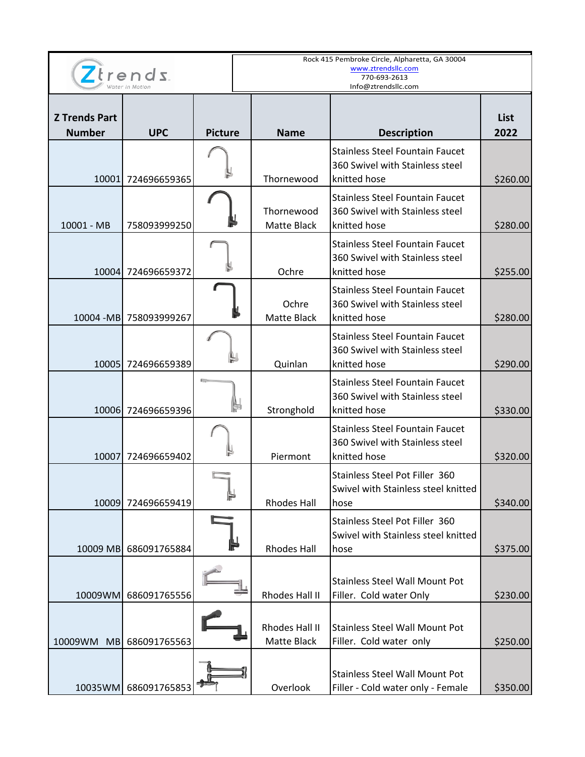|                                       |                         |                | Rock 415 Pembroke Circle, Alpharetta, GA 30004<br>www.ztrendsllc.com |                                                                                           |                     |  |
|---------------------------------------|-------------------------|----------------|----------------------------------------------------------------------|-------------------------------------------------------------------------------------------|---------------------|--|
| $Z$ trends                            |                         |                | 770-693-2613<br>Info@ztrendsllc.com                                  |                                                                                           |                     |  |
| <b>Z Trends Part</b><br><b>Number</b> | <b>UPC</b>              | <b>Picture</b> | <b>Name</b>                                                          | <b>Description</b>                                                                        | <b>List</b><br>2022 |  |
|                                       | 10001 724696659365      |                | Thornewood                                                           | <b>Stainless Steel Fountain Faucet</b><br>360 Swivel with Stainless steel<br>knitted hose | \$260.00            |  |
| 10001 - MB                            | 758093999250            |                | Thornewood<br>Matte Black                                            | <b>Stainless Steel Fountain Faucet</b><br>360 Swivel with Stainless steel<br>knitted hose | \$280.00            |  |
|                                       | 10004 724696659372      |                | Ochre                                                                | <b>Stainless Steel Fountain Faucet</b><br>360 Swivel with Stainless steel<br>knitted hose | \$255.00            |  |
|                                       | 10004 - MB 758093999267 |                | Ochre<br><b>Matte Black</b>                                          | <b>Stainless Steel Fountain Faucet</b><br>360 Swivel with Stainless steel<br>knitted hose | \$280.00            |  |
|                                       | 10005 724696659389      |                | Quinlan                                                              | <b>Stainless Steel Fountain Faucet</b><br>360 Swivel with Stainless steel<br>knitted hose | \$290.00            |  |
|                                       | 10006 724696659396      |                | Stronghold                                                           | <b>Stainless Steel Fountain Faucet</b><br>360 Swivel with Stainless steel<br>knitted hose | \$330.00            |  |
| 10007                                 | 724696659402            |                | Piermont                                                             | <b>Stainless Steel Fountain Faucet</b><br>360 Swivel with Stainless steel<br>knitted hose | \$320.00            |  |
|                                       | 10009 724696659419      | H              | <b>Rhodes Hall</b>                                                   | Stainless Steel Pot Filler 360<br>Swivel with Stainless steel knitted<br>hose             | \$340.00            |  |
|                                       | 10009 MB 686091765884   |                | <b>Rhodes Hall</b>                                                   | Stainless Steel Pot Filler 360<br>Swivel with Stainless steel knitted<br>hose             | \$375.00            |  |
| 10009WM                               | 686091765556            |                | Rhodes Hall II                                                       | <b>Stainless Steel Wall Mount Pot</b><br>Filler. Cold water Only                          | \$230.00            |  |
|                                       | 10009WM MB 686091765563 |                | Rhodes Hall II<br>Matte Black                                        | <b>Stainless Steel Wall Mount Pot</b><br>Filler. Cold water only                          | \$250.00            |  |
|                                       | 10035WM 686091765853    |                | Overlook                                                             | <b>Stainless Steel Wall Mount Pot</b><br>Filler - Cold water only - Female                | \$350.00            |  |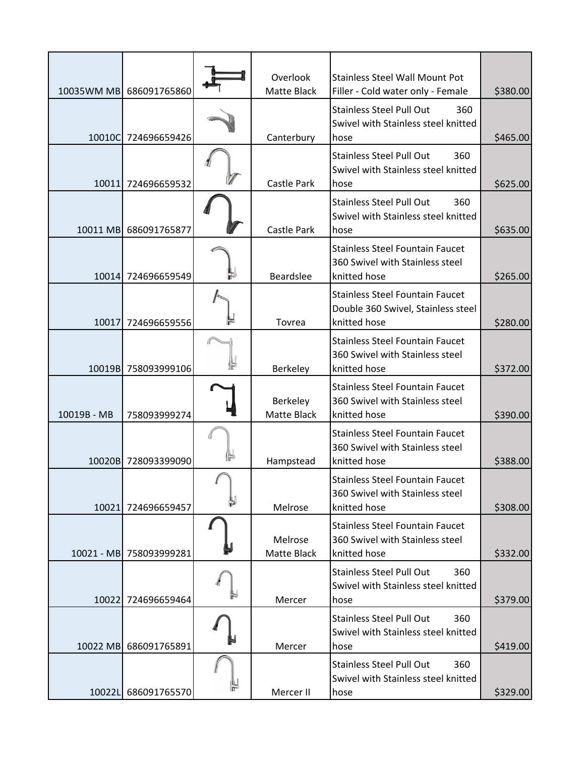|             | 10035WM MB 686091765860 | Overlook<br>Matte Black | <b>Stainless Steel Wall Mount Pot</b><br>Filler - Cold water only - Female                   | \$380.00 |
|-------------|-------------------------|-------------------------|----------------------------------------------------------------------------------------------|----------|
|             | 10010C 724696659426     | Canterbury              | <b>Stainless Steel Pull Out</b><br>360<br>Swivel with Stainless steel knitted<br>hose        | \$465.00 |
|             | 10011 724696659532      | Castle Park             | <b>Stainless Steel Pull Out</b><br>360<br>Swivel with Stainless steel knitted<br>hose        | \$625.00 |
|             | 10011 MB 686091765877   | Castle Park             | <b>Stainless Steel Pull Out</b><br>360<br>Swivel with Stainless steel knitted<br>hose        | \$635.00 |
|             | 10014 724696659549      | Beardslee               | <b>Stainless Steel Fountain Faucet</b><br>360 Swivel with Stainless steel<br>knitted hose    | \$265.00 |
|             | 10017 724696659556      | Tovrea                  | <b>Stainless Steel Fountain Faucet</b><br>Double 360 Swivel, Stainless steel<br>knitted hose | \$280.00 |
|             | 10019B 758093999106     | Berkeley                | <b>Stainless Steel Fountain Faucet</b><br>360 Swivel with Stainless steel<br>knitted hose    | \$372.00 |
| 10019B - MB | 758093999274            | Berkeley<br>Matte Black | <b>Stainless Steel Fountain Faucet</b><br>360 Swivel with Stainless steel<br>knitted hose    | \$390.00 |
|             | 10020B 728093399090     | Hampstead               | <b>Stainless Steel Fountain Faucet</b><br>360 Swivel with Stainless steel<br>knitted hose    | \$388.00 |
|             | 10021 724696659457      | Melrose                 | <b>Stainless Steel Fountain Faucet</b><br>360 Swivel with Stainless steel<br>knitted hose    | \$308.00 |
|             | 10021 - MB 758093999281 | Melrose<br>Matte Black  | <b>Stainless Steel Fountain Faucet</b><br>360 Swivel with Stainless steel<br>knitted hose    | \$332.00 |
|             | 10022 724696659464      | Mercer                  | <b>Stainless Steel Pull Out</b><br>360<br>Swivel with Stainless steel knitted<br>hose        | \$379.00 |
|             | 10022 MB 686091765891   | Mercer                  | <b>Stainless Steel Pull Out</b><br>360<br>Swivel with Stainless steel knitted<br>hose        | \$419.00 |
|             | 10022L 686091765570     | Mercer II               | <b>Stainless Steel Pull Out</b><br>360<br>Swivel with Stainless steel knitted<br>hose        | \$329.00 |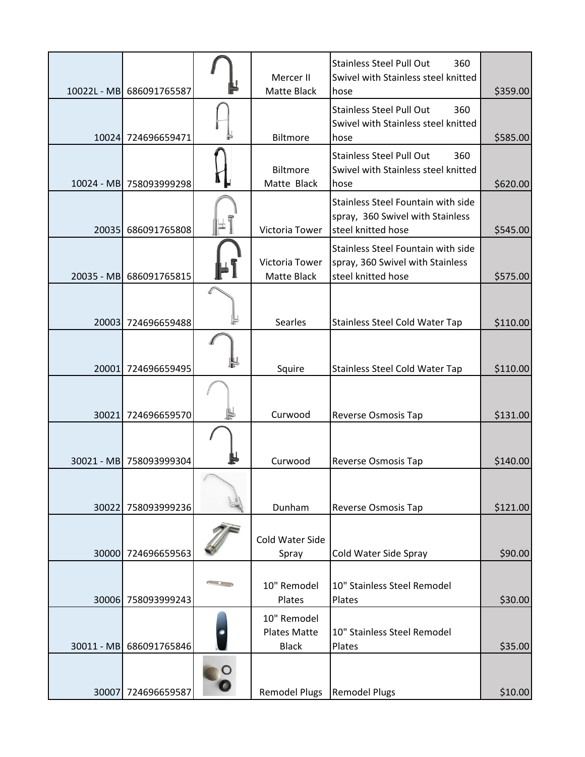|       | 10022L - MB 686091765587 | Mercer II<br>Matte Black                           | <b>Stainless Steel Pull Out</b><br>360<br>Swivel with Stainless steel knitted<br>hose        | \$359.00 |
|-------|--------------------------|----------------------------------------------------|----------------------------------------------------------------------------------------------|----------|
|       | 10024 724696659471       | Biltmore                                           | <b>Stainless Steel Pull Out</b><br>360<br>Swivel with Stainless steel knitted<br>hose        | \$585.00 |
|       | 10024 - MB 758093999298  | Biltmore<br>Matte Black                            | <b>Stainless Steel Pull Out</b><br>360<br>Swivel with Stainless steel knitted<br>hose        | \$620.00 |
|       | 20035 686091765808       | Victoria Tower                                     | Stainless Steel Fountain with side<br>spray, 360 Swivel with Stainless<br>steel knitted hose | \$545.00 |
|       | 20035 - MB 686091765815  | Victoria Tower<br>Matte Black                      | Stainless Steel Fountain with side<br>spray, 360 Swivel with Stainless<br>steel knitted hose | \$575.00 |
|       | 20003 724696659488       | Searles                                            | <b>Stainless Steel Cold Water Tap</b>                                                        | \$110.00 |
|       | 20001 724696659495       | Squire                                             | <b>Stainless Steel Cold Water Tap</b>                                                        | \$110.00 |
|       | 30021 724696659570       | Curwood                                            | <b>Reverse Osmosis Tap</b>                                                                   | \$131.00 |
|       | 30021 - MB 758093999304  | Curwood                                            | Reverse Osmosis Tap                                                                          | \$140.00 |
| 30022 | 758093999236             | Dunham                                             | <b>Reverse Osmosis Tap</b>                                                                   | \$121.00 |
| 30000 | 724696659563             | Cold Water Side<br>Spray                           | Cold Water Side Spray                                                                        | \$90.00  |
|       | 30006 758093999243       | 10" Remodel<br>Plates                              | 10" Stainless Steel Remodel<br>Plates                                                        | \$30.00  |
|       | 30011 - MB 686091765846  | 10" Remodel<br><b>Plates Matte</b><br><b>Black</b> | 10" Stainless Steel Remodel<br>Plates                                                        | \$35.00  |
|       | 30007 724696659587       | Remodel Plugs   Remodel Plugs                      |                                                                                              | \$10.00  |